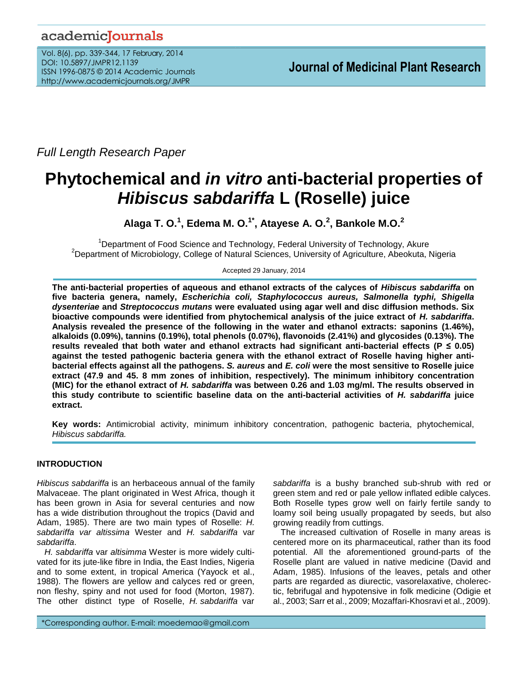# academicJournals

Vol. 8(6), pp. 339-344, 17 February, 2014 DOI: 10.5897/JMPR12.1139 ISSN 1996-0875 © 2014 Academic Journals http://www.academicjournals.org/JMPR

*Full Length Research Paper*

# **Phytochemical and** *in vitro* **anti-bacterial properties of**  *Hibiscus sabdariffa* **L (Roselle) juice**

**Alaga T. O.<sup>1</sup> , Edema M. O.1\* , Atayese A. O.<sup>2</sup> , Bankole M.O.<sup>2</sup>**

<sup>1</sup>Department of Food Science and Technology, Federal University of Technology, Akure <sup>2</sup>Department of Microbiology, College of Natural Sciences, University of Agriculture, Abeokuta, Nigeria

Accepted 29 January, 2014

**The anti-bacterial properties of aqueous and ethanol extracts of the calyces of** *Hibiscus sabdariffa* **on five bacteria genera, namely,** *Escherichia coli, Staphylococcus aureus, Salmonella typhi, Shigella dysenteriae* **and** *Streptococcus mutans* **were evaluated using agar well and disc diffusion methods. Six bioactive compounds were identified from phytochemical analysis of the juice extract of** *H. sabdariffa***. Analysis revealed the presence of the following in the water and ethanol extracts: saponins (1.46%), alkaloids (0.09%), tannins (0.19%), total phenols (0.07%), flavonoids (2.41%) and glycosides (0.13%). The results revealed that both water and ethanol extracts had significant anti-bacterial effects (P ≤ 0.05) against the tested pathogenic bacteria genera with the ethanol extract of Roselle having higher antibacterial effects against all the pathogens.** *S. aureus* **and** *E. coli* **were the most sensitive to Roselle juice extract (47.9 and 45. 8 mm zones of inhibition, respectively). The minimum inhibitory concentration (MIC) for the ethanol extract of** *H. sabdariffa* **was between 0.26 and 1.03 mg/ml. The results observed in this study contribute to scientific baseline data on the anti-bacterial activities of** *H. sabdariffa* **juice extract.**

**Key words:** Antimicrobial activity, minimum inhibitory concentration, pathogenic bacteria, phytochemical, *Hibiscus sabdariffa.*

# **INTRODUCTION**

*Hibiscus sabdariffa* is an herbaceous annual of the family Malvaceae. The plant originated in West Africa, though it has been grown in Asia for several centuries and now has a wide distribution throughout the tropics (David and Adam, 1985). There are two main types of Roselle: *H. sabdariffa var altissima* Wester and *H. sabdariffa* var *sabdariffa*.

*H. sabdariffa* var *altisimma* Wester is more widely cultivated for its jute-like fibre in India, the East Indies, Nigeria and to some extent, in tropical America (Yayock et al., 1988). The flowers are yellow and calyces red or green, non fleshy, spiny and not used for food (Morton, 1987). The other distinct type of Roselle, *H. sabdariffa* var *sabdariffa* is a bushy branched sub-shrub with red or green stem and red or pale yellow inflated edible calyces. Both Roselle types grow well on fairly fertile sandy to loamy soil being usually propagated by seeds, but also growing readily from cuttings.

The increased cultivation of Roselle in many areas is centered more on its pharmaceutical, rather than its food potential. All the aforementioned ground-parts of the Roselle plant are valued in native medicine (David and Adam, 1985). Infusions of the leaves, petals and other parts are regarded as diurectic, vasorelaxative, cholerectic, febrifugal and hypotensive in folk medicine (Odigie et al., 2003; Sarr et al., 2009; Mozaffari-Khosravi et al., 2009).

\*Corresponding author. E-mail: moedemao@gmail.com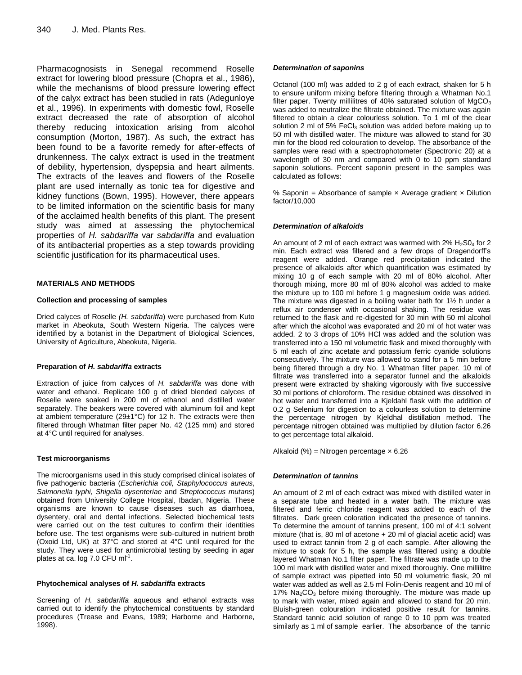Pharmacognosists in Senegal recommend Roselle extract for lowering blood pressure (Chopra et al., 1986), while the mechanisms of blood pressure lowering effect of the calyx extract has been studied in rats (Adegunloye et al., 1996). In experiments with domestic fowl, Roselle extract decreased the rate of absorption of alcohol thereby reducing intoxication arising from alcohol consumption (Morton, 1987). As such, the extract has been found to be a favorite remedy for after-effects of drunkenness. The calyx extract is used in the treatment of debility, hypertension, dyspepsia and heart ailments. The extracts of the leaves and flowers of the Roselle plant are used internally as tonic tea for digestive and kidney functions (Bown, 1995). However, there appears to be limited information on the scientific basis for many of the acclaimed health benefits of this plant. The present study was aimed at assessing the phytochemical properties of *H. sabdariffa* var *sabdariffa* and evaluation of its antibacterial properties as a step towards providing scientific justification for its pharmaceutical uses.

## **MATERIALS AND METHODS**

#### **Collection and processing of samples**

Dried calyces of Roselle *(H. sabdariffa*) were purchased from Kuto market in Abeokuta, South Western Nigeria. The calyces were identified by a botanist in the Department of Biological Sciences, University of Agriculture, Abeokuta, Nigeria.

#### **Preparation of** *H. sabdariffa* **extracts**

Extraction of juice from calyces of *H. sabdariffa* was done with water and ethanol. Replicate 100 g of dried blended calyces of Roselle were soaked in 200 ml of ethanol and distilled water separately. The beakers were covered with aluminum foil and kept at ambient temperature (29±1°C) for 12 h. The extracts were then filtered through Whatman filter paper No. 42 (125 mm) and stored at 4°C until required for analyses.

#### **Test microorganisms**

The microorganisms used in this study comprised clinical isolates of five pathogenic bacteria (*Escherichia coli, Staphylococcus aureus*, *Salmonella typhi, Shigella dysenteriae* and *Streptococcus mutans*) obtained from University College Hospital, Ibadan, Nigeria. These organisms are known to cause diseases such as diarrhoea, dysentery, oral and dental infections. Selected biochemical tests were carried out on the test cultures to confirm their identities before use. The test organisms were sub-cultured in nutrient broth (Oxoid Ltd, UK) at 37°C and stored at 4°C until required for the study. They were used for antimicrobial testing by seeding in agar plates at ca. log 7.0 CFU ml $^{-1}$ .

#### **Phytochemical analyses of** *H. sabdariffa* **extracts**

Screening of *H. sabdariffa* aqueous and ethanol extracts was carried out to identify the phytochemical constituents by standard procedures (Trease and Evans, 1989; Harborne and Harborne, 1998).

#### *Determination of saponins*

Octanol (100 ml) was added to 2 g of each extract, shaken for 5 h to ensure uniform mixing before filtering through a Whatman No.1 filter paper. Twenty millilitres of 40% saturated solution of  $MqCO<sub>3</sub>$ was added to neutralize the filtrate obtained. The mixture was again filtered to obtain a clear colourless solution. To 1 ml of the clear solution 2 ml of 5% FeCl<sub>3</sub> solution was added before making up to 50 ml with distilled water. The mixture was allowed to stand for 30 min for the blood red colouration to develop. The absorbance of the samples were read with a spectrophotometer (Spectronic 20) at a wavelength of 30 nm and compared with 0 to 10 ppm standard saponin solutions. Percent saponin present in the samples was calculated as follows:

% Saponin = Absorbance of sample  $\times$  Average gradient  $\times$  Dilution factor/10,000

## *Determination of alkaloids*

An amount of 2 ml of each extract was warmed with  $2\%$  H<sub>2</sub>S0<sub>4</sub> for 2 min. Each extract was filtered and a few drops of Dragendorff's reagent were added. Orange red precipitation indicated the presence of alkaloids after which quantification was estimated by mixing 10 g of each sample with 20 ml of 80% alcohol. After thorough mixing, more 80 ml of 80% alcohol was added to make the mixture up to 100 ml before 1 g magnesium oxide was added. The mixture was digested in a boiling water bath for 1½ h under a reflux air condenser with occasional shaking. The residue was returned to the flask and re-digested for 30 min with 50 ml alcohol after which the alcohol was evaporated and 20 ml of hot water was added. 2 to 3 drops of 10% HCl was added and the solution was transferred into a 150 ml volumetric flask and mixed thoroughly with 5 ml each of zinc acetate and potassium ferric cyanide solutions consecutively. The mixture was allowed to stand for a 5 min before being filtered through a dry No. 1 Whatman filter paper. 10 ml of filtrate was transferred into a separator funnel and the alkaloids present were extracted by shaking vigorously with five successive 30 ml portions of chloroform. The residue obtained was dissolved in hot water and transferred into a Kjeldahl flask with the addition of 0.2 g Selenium for digestion to a colourless solution to determine the percentage nitrogen by Kjeldhal distillation method. The percentage nitrogen obtained was multiplied by dilution factor 6.26 to get percentage total alkaloid.

Alkaloid  $\left(\% \right)$  = Nitrogen percentage  $\times$  6.26

# *Determination of tannins*

An amount of 2 ml of each extract was mixed with distilled water in a separate tube and heated in a water bath. The mixture was filtered and ferric chloride reagent was added to each of the filtrates. Dark green coloration indicated the presence of tannins. To determine the amount of tannins present, 100 ml of 4:1 solvent mixture (that is, 80 ml of acetone + 20 ml of glacial acetic acid) was used to extract tannin from 2 g of each sample. After allowing the mixture to soak for 5 h, the sample was filtered using a double layered Whatman No.1 filter paper. The filtrate was made up to the 100 ml mark with distilled water and mixed thoroughly. One millilitre of sample extract was pipetted into 50 ml volumetric flask, 20 ml water was added as well as 2.5 ml Folin-Denis reagent and 10 ml of  $17\%$  Na<sub>2</sub>CO<sub>3</sub> before mixing thoroughly. The mixture was made up to mark with water, mixed again and allowed to stand for 20 min. Bluish-green colouration indicated positive result for tannins. Standard tannic acid solution of range 0 to 10 ppm was treated similarly as 1 ml of sample earlier. The absorbance of the tannic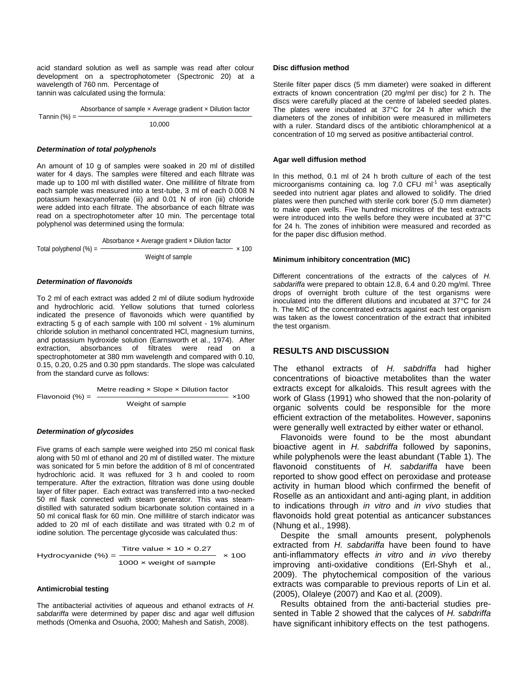acid standard solution as well as sample was read after colour development on a spectrophotometer (Spectronic 20) at a wavelength of 760 nm. Percentage of tannin was calculated using the formula:

 Absorbance of sample × Average gradient × Dilution factor Tannin  $(%) = -$ 10,000

#### *Determination of total polyphenols*

An amount of 10 g of samples were soaked in 20 ml of distilled water for 4 days. The samples were filtered and each filtrate was made up to 100 ml with distilled water. One millilitre of filtrate from each sample was measured into a test-tube, 3 ml of each 0.008 N potassium hexacyanoferrate (iii) and 0.01 N of iron (iii) chloride were added into each filtrate. The absorbance of each filtrate was read on a spectrophotometer after 10 min. The percentage total polyphenol was determined using the formula:

Total polyphenol 
$$
(\%) = \frac{Absorbance \times Average gradient \times Dilution factor}{Weight of sample} \times 100
$$

\nWeight of sample

#### *Determination of flavonoids*

To 2 ml of each extract was added 2 ml of dilute sodium hydroxide and hydrochloric acid. Yellow solutions that turned colorless indicated the presence of flavonoids which were quantified by extracting 5 g of each sample with 100 ml solvent - 1% aluminum chloride solution in methanol concentrated HCl, magnesium turnins, and potassium hydroxide solution (Earnsworth et al., 1974). After extraction, absorbances of filtrates were read on a spectrophotometer at 380 mm wavelength and compared with 0.10, 0.15, 0.20, 0.25 and 0.30 ppm standards. The slope was calculated from the standard curve as follows:

| Flavonoid (%) = | \n $\frac{\text{Metre reading} \times \text{Slope} \times \text{Dilution factor}}{\text{Weight of sample}}$ \n | \n $\times 100$ \n |
|-----------------|----------------------------------------------------------------------------------------------------------------|--------------------|
|-----------------|----------------------------------------------------------------------------------------------------------------|--------------------|

#### *Determination of glycosides*

Five grams of each sample were weighed into 250 ml conical flask along with 50 ml of ethanol and 20 ml of distilled water. The mixture was sonicated for 5 min before the addition of 8 ml of concentrated hydrochloric acid. It was refluxed for 3 h and cooled to room temperature. After the extraction, filtration was done using double layer of filter paper. Each extract was transferred into a two-necked 50 ml flask connected with steam generator. This was steamdistilled with saturated sodium bicarbonate solution contained in a 50 ml conical flask for 60 min. One millilitre of starch indicator was added to 20 ml of each distillate and was titrated with 0.2 m of iodine solution. The percentage glycoside was calculated thus:

Hydrocyanide (%) = 
$$
\frac{\text{Titre value} \times 10 \times 0.27}{1000 \times \text{weight of sample}} \times 100
$$

#### **Antimicrobial testing**

The antibacterial activities of aqueous and ethanol extracts of *H. sabdariffa* were determined by paper disc and agar well diffusion methods (Omenka and Osuoha, 2000; Mahesh and Satish, 2008).

#### **Disc diffusion method**

Sterile filter paper discs (5 mm diameter) were soaked in different extracts of known concentration (20 mg/ml per disc) for 2 h. The discs were carefully placed at the centre of labeled seeded plates. The plates were incubated at 37°C for 24 h after which the diameters of the zones of inhibition were measured in millimeters with a ruler. Standard discs of the antibiotic chloramphenicol at a concentration of 10 mg served as positive antibacterial control.

#### **Agar well diffusion method**

In this method, 0.1 ml of 24 h broth culture of each of the test microorganisms containing ca. log  $7.0$  CFU m $I<sup>-1</sup>$  was aseptically seeded into nutrient agar plates and allowed to solidify. The dried plates were then punched with sterile cork borer (5.0 mm diameter) to make open wells. Five hundred microlitres of the test extracts were introduced into the wells before they were incubated at 37°C for 24 h. The zones of inhibition were measured and recorded as for the paper disc diffusion method.

#### **Minimum inhibitory concentration (MIC)**

Different concentrations of the extracts of the calyces of *H. sabdariffa* were prepared to obtain 12.8, 6.4 and 0.20 mg/ml. Three drops of overnight broth culture of the test organisms were inoculated into the different dilutions and incubated at 37°C for 24 h. The MIC of the concentrated extracts against each test organism was taken as the lowest concentration of the extract that inhibited the test organism.

# **RESULTS AND DISCUSSION**

The ethanol extracts of *H. sabdriffa* had higher concentrations of bioactive metabolites than the water extracts except for alkaloids. This result agrees with the work of Glass (1991) who showed that the non-polarity of organic solvents could be responsible for the more efficient extraction of the metabolites. However, saponins were generally well extracted by either water or ethanol.

Flavonoids were found to be the most abundant bioactive agent in *H. sabdriffa* followed by saponins, while polyphenols were the least abundant (Table 1). The flavonoid constituents of *H. sabdariffa* have been reported to show good effect on peroxidase and protease activity in human blood which confirmed the benefit of Roselle as an antioxidant and anti-aging plant, in addition to indications through *in vitro* and *in vivo* studies that flavonoids hold great potential as anticancer substances (Nhung et al., 1998).

Despite the small amounts present, polyphenols extracted from *H. sabdariffa* have been found to have anti-inflammatory effects *in vitro* and *in vivo* thereby improving anti-oxidative conditions (Erl-Shyh et al., 2009). The phytochemical composition of the various extracts was comparable to previous reports of Lin et al. (2005), Olaleye (2007) and Kao et al. (2009).

Results obtained from the anti-bacterial studies presented in Table 2 showed that the calyces of *H. sabdriffa* have significant inhibitory effects on the test pathogens.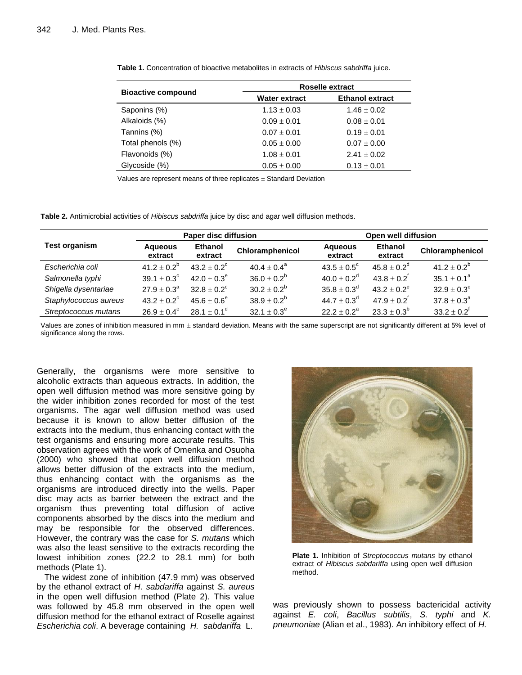|                           | <b>Roselle extract</b> |                        |  |  |
|---------------------------|------------------------|------------------------|--|--|
| <b>Bioactive compound</b> | <b>Water extract</b>   | <b>Ethanol extract</b> |  |  |
| Saponins (%)              | $1.13 \pm 0.03$        | $1.46 \pm 0.02$        |  |  |
| Alkaloids (%)             | $0.09 \pm 0.01$        | $0.08 \pm 0.01$        |  |  |
| Tannins (%)               | $0.07 \pm 0.01$        | $0.19 \pm 0.01$        |  |  |
| Total phenols (%)         | $0.05 \pm 0.00$        | $0.07 \pm 0.00$        |  |  |
| Flavonoids (%)            | $1.08 \pm 0.01$        | $2.41 \pm 0.02$        |  |  |
| Glycoside (%)             | $0.05 \pm 0.00$        | $0.13 \pm 0.01$        |  |  |

**Table 1.** Concentration of bioactive metabolites in extracts of *Hibiscus sabdriffa* juice.

Values are represent means of three replicates  $\pm$  Standard Deviation

**Table 2.** Antimicrobial activities of *Hibiscus sabdriffa* juice by disc and agar well diffusion methods.

|                       | Paper disc diffusion      |                        | Open well diffusion    |                             |                           |                        |
|-----------------------|---------------------------|------------------------|------------------------|-----------------------------|---------------------------|------------------------|
| <b>Test organism</b>  | <b>Aqueous</b><br>extract | Ethanol<br>extract     | Chloramphenicol        | <b>Aqueous</b><br>extract   | <b>Ethanol</b><br>extract | Chloramphenicol        |
| Escherichia coli      | $41.2 \pm 0.2^b$          | $43.2 + 0.2^{\circ}$   | $40.4 \pm 0.4^{\circ}$ | $43.5 \pm 0.5^{\circ}$      | $45.8 \pm 0.2^d$          | 41.2 ± $0.2^b$         |
| Salmonella typhi      | $39.1 \pm 0.3^{\circ}$    | $42.0 \pm 0.3^e$       | $36.0 \pm 0.2^b$       | $40.0 \pm 0.2$ <sup>d</sup> | $43.8 \pm 0.2^f$          | $35.1 \pm 0.1^a$       |
| Shigella dysentariae  | $27.9 + 0.3^a$            | $32.8 + 0.2^c$         | $30.2 \pm 0.2^b$       | $35.8 \pm 0.3^d$            | $43.2 + 0.2^e$            | $32.9 \pm 0.3^c$       |
| Staphylococcus aureus | $43.2 + 0.2^{\circ}$      | $45.6 + 0.6^e$         | $38.9 \pm 0.2^b$       | $44.7 \pm 0.3^d$            | $47.9 \pm 0.2^{\dagger}$  | $37.8 \pm 0.3^{\circ}$ |
| Streptococcus mutans  | $26.9 \pm 0.4^{\circ}$    | $28.1 \pm 0.1^{\circ}$ | $32.1 \pm 0.3^e$       | $22.2 \pm 0.2^a$            | $23.3 \pm 0.3^b$          | $33.2 \pm 0.2^f$       |

Values are zones of inhibition measured in mm  $\pm$  standard deviation. Means with the same superscript are not significantly different at 5% level of significance along the rows.

Generally, the organisms were more sensitive to alcoholic extracts than aqueous extracts. In addition, the open well diffusion method was more sensitive going by the wider inhibition zones recorded for most of the test organisms. The agar well diffusion method was used because it is known to allow better diffusion of the extracts into the medium, thus enhancing contact with the test organisms and ensuring more accurate results. This observation agrees with the work of Omenka and Osuoha (2000) who showed that open well diffusion method allows better diffusion of the extracts into the medium, thus enhancing contact with the organisms as the organisms are introduced directly into the wells. Paper disc may acts as barrier between the extract and the organism thus preventing total diffusion of active components absorbed by the discs into the medium and may be responsible for the observed differences. However, the contrary was the case for *S. mutans* which was also the least sensitive to the extracts recording the lowest inhibition zones (22.2 to 28.1 mm) for both methods (Plate 1).

The widest zone of inhibition (47.9 mm) was observed by the ethanol extract of *H. sabdariffa* against *S. aureus* in the open well diffusion method (Plate 2). This value was followed by 45.8 mm observed in the open well diffusion method for the ethanol extract of Roselle against *Escherichia coli*. A beverage containing *H. sabdariffa* L.



**Plate 1.** Inhibition of *Streptococcus mutans* by ethanol extract of *Hibiscus sabdariffa* using open well diffusion method.

was previously shown to possess bactericidal activity against *E. coli*, *Bacillus subtilis*, *S. typhi* and *K. pneumoniae* (Alian et al., 1983). An inhibitory effect of *H.*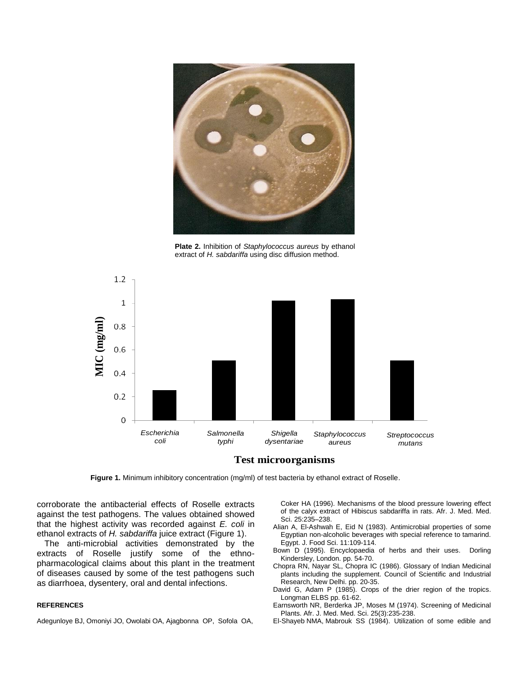

**Plate 2.** Inhibition of *Staphylococcus aureus* by ethanol extract of *H. sabdariffa* using disc diffusion method.





Figure 1. Minimum inhibitory concentration (mg/ml) of test bacteria by ethanol extract of Roselle.

corroborate the antibacterial effects of Roselle extracts against the test pathogens. The values obtained showed that the highest activity was recorded against *E. coli* in ethanol extracts of *H. sabdariffa* juice extract (Figure 1).

The anti-microbial activities demonstrated by the extracts of Roselle justify some of the ethnopharmacological claims about this plant in the treatment of diseases caused by some of the test pathogens such as diarrhoea, dysentery, oral and dental infections.

## **REFERENCES**

Adegunloye BJ, Omoniyi JO, Owolabi OA, Ajagbonna OP, Sofola OA,

Coker HA (1996). Mechanisms of the blood pressure lowering effect of the calyx extract of Hibiscus sabdariffa in rats. Afr. J. Med. Med. Sci. 25:235–238.

- Alian A, El-Ashwah E, Eid N (1983). Antimicrobial properties of some Egyptian non-alcoholic beverages with special reference to tamarind. Egypt. J. Food Sci. 11:109-114.
- Bown D (1995). Encyclopaedia of herbs and their uses. Dorling Kindersley, London. pp. 54-70.
- Chopra RN, Nayar SL, Chopra IC (1986). Glossary of Indian Medicinal plants including the supplement. Council of Scientific and Industrial Research, New Delhi. pp. 20-35.
- David G, Adam P (1985). Crops of the drier region of the tropics. Longman ELBS pp. 61-62.
- Earnsworth NR, Berderka JP, Moses M (1974). Screening of Medicinal Plants. Afr. J. Med. Med. Sci. 25(3):235-238.
- El-Shayeb NMA, Mabrouk SS (1984). Utilization of some edible and